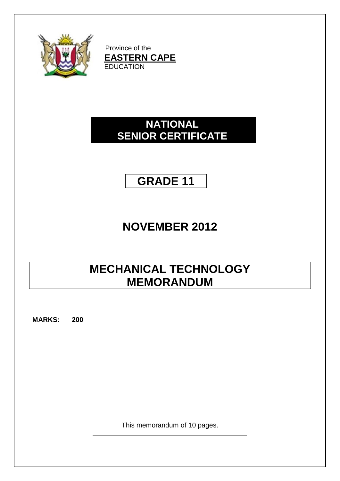

Province of the **EASTERN CAPE EDUCATION** 

### **NATIONAL SENIOR CERTIFICATE**

### **GRADE 11**

# **NOVEMBER 2012**

## **MECHANICAL TECHNOLOGY MEMORANDUM**

**MARKS: 200**

This memorandum of 10 pages.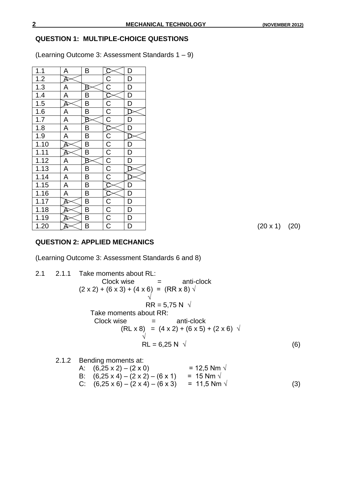#### **QUESTION 1: MULTIPLE-CHOICE QUESTIONS**

(Learning Outcome 3: Assessment Standards 1 – 9)

| 1.1                                    | A                                   | B                       |                                                                                | D                       |
|----------------------------------------|-------------------------------------|-------------------------|--------------------------------------------------------------------------------|-------------------------|
| $\frac{1.2}{1.2}$                      |                                     |                         |                                                                                | D                       |
| $\frac{1.3}{1.4}$<br>$\frac{1.5}{1.5}$ | A                                   | B                       | C<br>C<br>C<br>C<br>C<br>C<br>C<br>C<br>C<br>C<br>C<br>C<br>C<br><br>C<br><br> | $\overline{D}$          |
|                                        | Ā                                   | B                       |                                                                                | $\overline{D}$          |
|                                        | A                                   | B                       |                                                                                | $\overline{\mathsf{D}}$ |
|                                        | $\overline{\mathsf{A}}$             | $\overline{\mathsf{B}}$ |                                                                                |                         |
| $\frac{1.6}{1.7}$                      | $\overline{\mathsf{A}}$             | B                       |                                                                                | $\mathsf{D}$            |
| $\overline{1.8}$                       | Ā                                   | B                       |                                                                                | D                       |
| $\frac{1.9}{1.10}$                     | $\overline{\mathsf{A}}$             | В                       |                                                                                |                         |
|                                        |                                     | $\overline{\mathsf{B}}$ |                                                                                | D                       |
| 1.11                                   | ₽                                   | $\overline{\mathsf{B}}$ | $\overline{C}\overline{C}\overline{C}\overline{C}$                             | $\overline{\mathsf{D}}$ |
| 1.12                                   | $\overline{\mathsf{A}}$             | B                       |                                                                                | D                       |
| 1.13                                   |                                     | B                       |                                                                                |                         |
| 1.14                                   | $\frac{\overline{A}}{\overline{A}}$ | $\overline{B}$          |                                                                                |                         |
| 1.15                                   | Ā                                   | B                       |                                                                                | $\mathsf{D}$            |
| 1.16                                   | $\overline{\mathsf{A}}$             | В                       |                                                                                | D                       |
| 1.17                                   |                                     | $\overline{B}$          |                                                                                | $\overline{\mathsf{D}}$ |
| 1.18                                   |                                     | $\overline{\mathsf{B}}$ | $\overline{C}$<br>$\overline{C}$<br>$\overline{C}$                             | $\overline{D}$          |
| 1.19                                   |                                     | $\overline{\mathsf{B}}$ |                                                                                | $\overline{D}$          |
| 1.20                                   |                                     | $\overline{\mathsf{B}}$ |                                                                                | $\overline{\mathsf{D}}$ |

 $(20 \times 1)$   $(20)$ 

#### **QUESTION 2: APPLIED MECHANICS**

(Learning Outcome 3: Assessment Standards 6 and 8)

- 2.1 2.1.1 Take moments about RL:  $Clockwise =$  anti-clock  $(2 \times 2) + (6 \times 3) + (4 \times 6) = (RR \times 8)$  √  $RR = 5,75 N \sqrt{ }$  Take moments about RR:  $Clockwise =$  anti-clock  $(RL \times 8) = (4 \times 2) + (6 \times 5) + (2 \times 6)$  √  $RL = 6,25 N \sqrt{6}$ 
	- 2.1.2 Bending moments at: A:  $(6,25 \times 2) - (2 \times 0)$  = 12,5 Nm  $\sqrt{ }$ B:  $(6,25 \times 4) - (2 \times 2) - (6 \times 1) = 15$  Nm  $\sqrt{ }$ C:  $(6,25 \times 6) - (2 \times 4) - (6 \times 3) = 11,5$  Nm  $\sqrt{ }$  (3)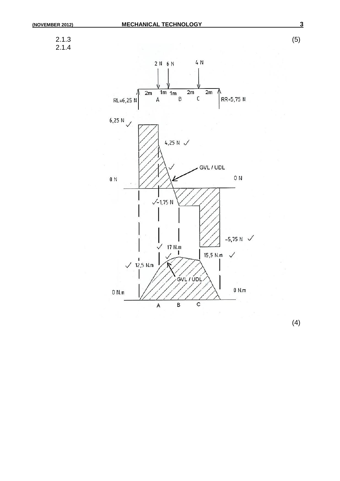2.1.4



(4)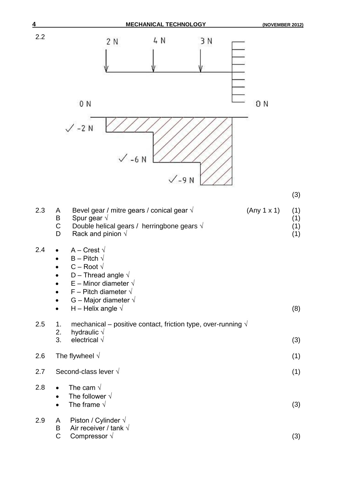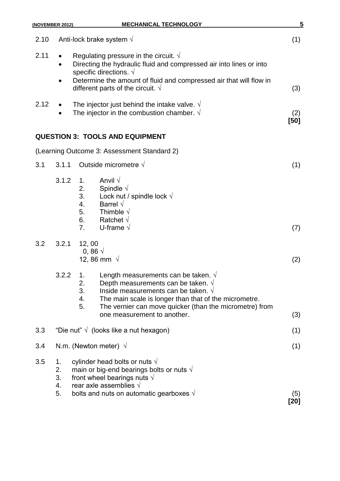|      | (NOVEMBER 2012)            | <b>MECHANICAL TECHNOLOGY</b>                                                                                                                                                                                                                                                                                              | 5    |  |  |
|------|----------------------------|---------------------------------------------------------------------------------------------------------------------------------------------------------------------------------------------------------------------------------------------------------------------------------------------------------------------------|------|--|--|
| 2.10 |                            | Anti-lock brake system $\sqrt{}$                                                                                                                                                                                                                                                                                          |      |  |  |
| 2.11 | $\bullet$<br>$\bullet$     | Regulating pressure in the circuit. $\sqrt{ }$<br>Directing the hydraulic fluid and compressed air into lines or into<br>specific directions. $\sqrt{ }$<br>Determine the amount of fluid and compressed air that will flow in<br>different parts of the circuit. $\sqrt{ }$                                              |      |  |  |
| 2.12 |                            | The injector just behind the intake valve. $\sqrt{ }$<br>The injector in the combustion chamber. $\sqrt{ }$                                                                                                                                                                                                               |      |  |  |
|      |                            | <b>QUESTION 3: TOOLS AND EQUIPMENT</b>                                                                                                                                                                                                                                                                                    |      |  |  |
|      |                            | (Learning Outcome 3: Assessment Standard 2)                                                                                                                                                                                                                                                                               |      |  |  |
| 3.1  | 3.1.1                      | Outside micrometre $\sqrt{ }$                                                                                                                                                                                                                                                                                             | (1)  |  |  |
|      | 3.1.2                      | Anvil $\sqrt$<br>1.<br>Spindle $\sqrt$<br>2.<br>3.<br>Lock nut / spindle lock $\sqrt{}$<br>Barrel $\sqrt$<br>4.<br>Thimble $\sqrt$<br>5.<br>6.<br>Ratchet $\sqrt{ }$<br>U-frame $\sqrt{ }$<br>7.                                                                                                                          | (7)  |  |  |
| 3.2  | 3.2.1                      | 12,00<br>0, 86 $\sqrt{ }$<br>12, 86 mm $\sqrt{ }$                                                                                                                                                                                                                                                                         | (2)  |  |  |
|      | 3.2.2                      | 1. Length measurements can be taken. $\sqrt{ }$<br>Depth measurements can be taken. $\sqrt{ }$<br>2.<br>3.<br>Inside measurements can be taken. $\sqrt{ }$<br>4.<br>The main scale is longer than that of the micrometre.<br>5.<br>The vernier can move quicker (than the micrometre) from<br>one measurement to another. | (3)  |  |  |
| 3.3  |                            | "Die nut" $\sqrt{ }$ (looks like a nut hexagon)                                                                                                                                                                                                                                                                           |      |  |  |
| 3.4  |                            | N.m. (Newton meter) $\sqrt{}$                                                                                                                                                                                                                                                                                             |      |  |  |
| 3.5  | 1.<br>2.<br>3.<br>4.<br>5. | cylinder head bolts or nuts $\sqrt{ }$<br>main or big-end bearings bolts or nuts $\sqrt{ }$<br>front wheel bearings nuts $\sqrt{}$<br>rear axle assemblies $\sqrt{ }$<br>bolts and nuts on automatic gearboxes $\sqrt{ }$                                                                                                 | (5)  |  |  |
|      |                            |                                                                                                                                                                                                                                                                                                                           | [20] |  |  |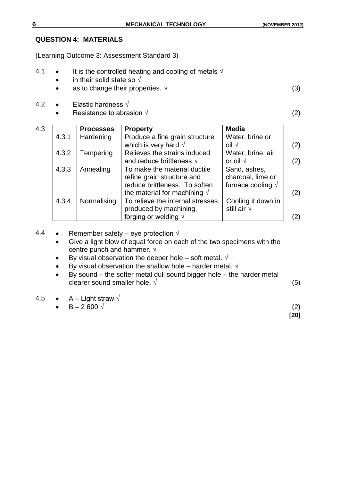#### **QUESTION 4: MATERIALS**

(Learning Outcome 3: Assessment Standard 3)

- 4.1 It is the controlled heating and cooling of metals  $\sqrt{ }$ 
	- in their solid state so  $\sqrt{ }$
	- as to change their properties.  $\sqrt{ }$  (3)
- 4.2 Elastic hardness  $\sqrt{ }$ 
	- Resistance to abrasion  $\sqrt{2}$

| 4.3 |       | <b>Processes</b> | <b>Property</b>                                                                                                                     | <b>Media</b>                                                    |     |
|-----|-------|------------------|-------------------------------------------------------------------------------------------------------------------------------------|-----------------------------------------------------------------|-----|
|     | 4.3.1 | Hardening        | Produce a fine grain structure<br>which is very hard $\sqrt{ }$                                                                     | Water, brine or<br>$\mathsf{oil} \ \sqrt{}$                     | (2) |
|     | 4.3.2 | Tempering        | Relieves the strains induced<br>and reduce brittleness $\sqrt{}$                                                                    | Water, brine, air<br>or oil $\sqrt{ }$                          | (2) |
|     | 4.3.3 | Annealing        | To make the material ductile<br>refine grain structure and<br>reduce brittleness. To soften<br>the material for machining $\sqrt{}$ | Sand, ashes,<br>charcoal, lime or<br>furnace cooling $\sqrt{ }$ | (2) |
|     | 4.3.4 | Normalising      | To relieve the internal stresses<br>produced by machining,<br>forging or welding $\sqrt{ }$                                         | Cooling it down in<br>still air $\sqrt{ }$                      | '2) |

- 4.4 Remember safety eye protection  $\sqrt{ }$ 
	- Give a light blow of equal force on each of the two specimens with the centre punch and hammer.  $\sqrt{ }$
	- By visual observation the deeper hole soft metal.  $\sqrt{ }$
	- By visual observation the shallow hole harder metal.  $\sqrt{ }$
	- By sound the softer metal dull sound bigger hole the harder metal clearer sound smaller hole.  $\sqrt{ }$  (5)
- 4.5  $A Light$  straw  $\sqrt{ }$ 
	- $-B-2600 \sqrt{2}$

**[20]**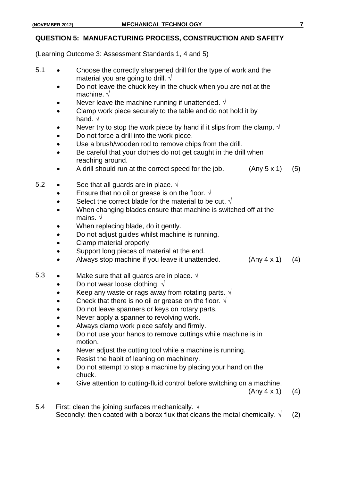#### **QUESTION 5: MANUFACTURING PROCESS, CONSTRUCTION AND SAFETY**

(Learning Outcome 3: Assessment Standards 1, 4 and 5)

- 5.1 Choose the correctly sharpened drill for the type of work and the material you are going to drill.  $\sqrt{ }$ 
	- Do not leave the chuck key in the chuck when you are not at the machine. √
	- Never leave the machine running if unattended.  $\sqrt{ }$
	- Clamp work piece securely to the table and do not hold it by hand. √
	- Never try to stop the work piece by hand if it slips from the clamp.  $\sqrt{ }$
	- Do not force a drill into the work piece.
	- Use a brush/wooden rod to remove chips from the drill.
	- Be careful that your clothes do not get caught in the drill when reaching around.
	- A drill should run at the correct speed for the job. (Any 5 x 1) (5)
- 5.2 See that all guards are in place.  $\sqrt{ }$ 
	- Ensure that no oil or grease is on the floor.  $\sqrt{ }$
	- Select the correct blade for the material to be cut.  $\sqrt{ }$
	- When changing blades ensure that machine is switched off at the mains. √
	- When replacing blade, do it gently.
	- Do not adjust guides whilst machine is running.
	- Clamp material properly.
	- Support long pieces of material at the end.
	- Always stop machine if you leave it unattended.  $(Any 4 x 1)$  (4)
- 5.3  $\bullet$  Make sure that all guards are in place.  $\sqrt{ }$ 
	- Do not wear loose clothing. √
	- Keep any waste or rags away from rotating parts.  $\sqrt{ }$
	- Check that there is no oil or grease on the floor.  $\sqrt{ }$
	- Do not leave spanners or keys on rotary parts.
	- Never apply a spanner to revolving work.
	- Always clamp work piece safely and firmly.
	- Do not use your hands to remove cuttings while machine is in motion.
	- Never adjust the cutting tool while a machine is running.
	- Resist the habit of leaning on machinery.
	- Do not attempt to stop a machine by placing your hand on the chuck.
	- Give attention to cutting-fluid control before switching on a machine.
		- $(Any 4 x 1)$  (4)
- 5.4 First: clean the joining surfaces mechanically.  $\sqrt{ }$ Secondly: then coated with a borax flux that cleans the metal chemically.  $\sqrt{(2)}$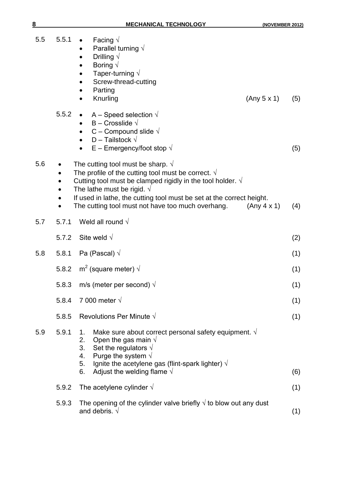| 5.5                      | 5.5.1 | Facing $\sqrt{ }$<br>Parallel turning $\sqrt{ }$<br>Drilling $\sqrt{}$<br>Boring $\sqrt{}$<br>Taper-turning $\sqrt{ }$<br>Screw-thread-cutting<br>Parting<br>Knurling<br>(Any 5 x 1)                                                                                                                                                                                 | (5) |  |  |
|--------------------------|-------|----------------------------------------------------------------------------------------------------------------------------------------------------------------------------------------------------------------------------------------------------------------------------------------------------------------------------------------------------------------------|-----|--|--|
|                          | 5.5.2 | A – Speed selection $\sqrt{}$<br>$B - Cross$ lide $\sqrt{ }$<br>$\bullet$<br>C – Compound slide $\sqrt{}$<br>D - Tailstock $\sqrt{}$<br>$E$ – Emergency/foot stop $\sqrt{ }$                                                                                                                                                                                         | (5) |  |  |
|                          |       | The cutting tool must be sharp. $\sqrt{ }$<br>The profile of the cutting tool must be correct. $\sqrt{ }$<br>Cutting tool must be clamped rigidly in the tool holder. $\sqrt{ }$<br>The lathe must be rigid. $\sqrt{ }$<br>If used in lathe, the cutting tool must be set at the correct height.<br>The cutting tool must not have too much overhang.<br>(Any 4 x 1) | (4) |  |  |
|                          | 5.7.1 | Weld all round $\sqrt{ }$                                                                                                                                                                                                                                                                                                                                            |     |  |  |
|                          | 5.7.2 | Site weld $\sqrt$                                                                                                                                                                                                                                                                                                                                                    | (2) |  |  |
|                          | 5.8.1 | Pa (Pascal) $\sqrt{ }$                                                                                                                                                                                                                                                                                                                                               | (1) |  |  |
| 5.6<br>5.7<br>5.8<br>5.9 | 5.8.2 | m <sup>2</sup> (square meter) $\sqrt{ }$<br>(1)                                                                                                                                                                                                                                                                                                                      |     |  |  |
|                          | 5.8.3 | m/s (meter per second) $\sqrt{ }$                                                                                                                                                                                                                                                                                                                                    | (1) |  |  |
|                          |       | 5.8.4 7 000 meter $\sqrt{ }$                                                                                                                                                                                                                                                                                                                                         | (1) |  |  |
|                          |       | 5.8.5 Revolutions Per Minute $\sqrt{}$                                                                                                                                                                                                                                                                                                                               | (1) |  |  |
|                          | 5.9.1 | Make sure about correct personal safety equipment. $\sqrt{ }$<br>1.<br>Open the gas main $\sqrt{ }$<br>2.<br>Set the regulators $\sqrt{ }$<br>3.<br>Purge the system $\sqrt{ }$<br>4.<br>Ignite the acetylene gas (flint-spark lighter) $\sqrt{}$<br>5.<br>Adjust the welding flame $\sqrt{ }$<br>6.                                                                 | (6) |  |  |
|                          | 5.9.2 | The acetylene cylinder $\sqrt{ }$                                                                                                                                                                                                                                                                                                                                    | (1) |  |  |
|                          | 5.9.3 | The opening of the cylinder valve briefly $\sqrt{ }$ to blow out any dust<br>and debris. $\sqrt{ }$                                                                                                                                                                                                                                                                  | (1) |  |  |

**8 MECHANICAL TECHNOLOGY (NOVEMBER 2012)**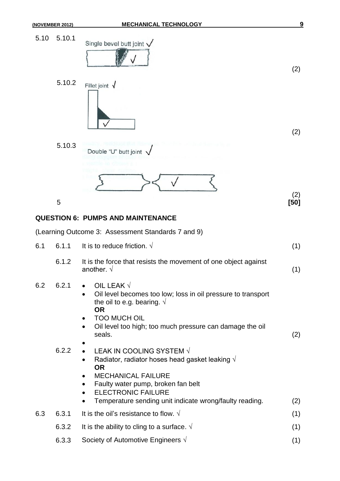5.10 5.10.1 Single bevel butt joint  $\sqrt{}$ (2) 5.10.2



(2)

 $(2)$ <br>[50]

5.10.3 Double "U" butt joint  $\sqrt{ }$ 

5 **[50]**

### **QUESTION 6: PUMPS AND MAINTENANCE**

(Learning Outcome 3: Assessment Standards 7 and 9)

| 6.1 | 6.1.1 | It is to reduce friction. $\sqrt{ }$                                                                                                                                                                                                                                     | (1) |
|-----|-------|--------------------------------------------------------------------------------------------------------------------------------------------------------------------------------------------------------------------------------------------------------------------------|-----|
|     | 6.1.2 | It is the force that resists the movement of one object against<br>another. $\sqrt{ }$                                                                                                                                                                                   | (1) |
| 6.2 | 6.2.1 | OIL LEAK $\sqrt{}$<br>Oil level becomes too low; loss in oil pressure to transport<br>$\bullet$<br>the oil to e.g. bearing. $\sqrt{ }$<br><b>OR</b><br><b>TOO MUCH OIL</b><br>$\bullet$<br>Oil level too high; too much pressure can damage the oil<br>seals.            | (2) |
|     | 6.2.2 | LEAK IN COOLING SYSTEM √<br>Radiator, radiator hoses head gasket leaking $\sqrt{ }$<br><b>OR</b><br><b>MECHANICAL FAILURE</b><br>Faulty water pump, broken fan belt<br><b>ELECTRONIC FAILURE</b><br>Temperature sending unit indicate wrong/faulty reading.<br>$\bullet$ | (2) |
| 6.3 | 6.3.1 | It is the oil's resistance to flow. $\sqrt{ }$                                                                                                                                                                                                                           | (1) |
|     | 6.3.2 | It is the ability to cling to a surface. $\sqrt{ }$                                                                                                                                                                                                                      | (1) |
|     | 6.3.3 | Society of Automotive Engineers $\sqrt{ }$                                                                                                                                                                                                                               | (1) |
|     |       |                                                                                                                                                                                                                                                                          |     |